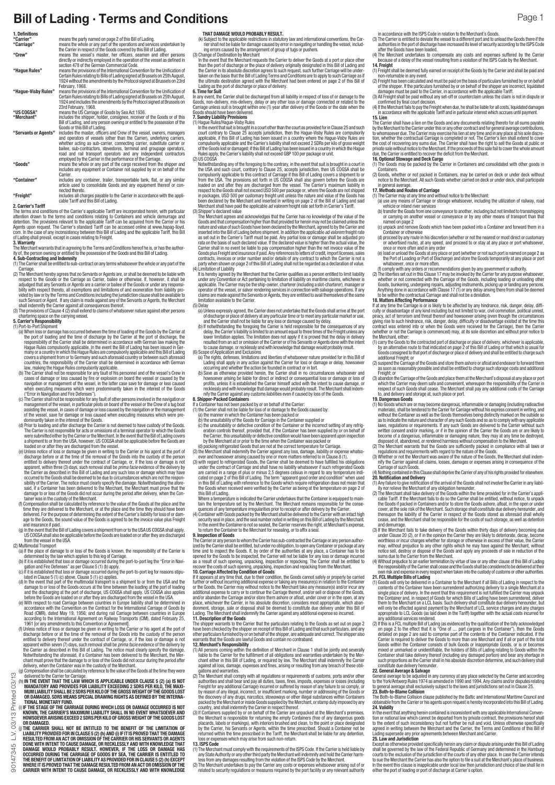|                                                          | Bill of Lading · Terms and Conditions                                                                                                                                                                                                   |                                                                                                                                                                                                                                                                                                                      | Page 1                                                                                                                                                                                                                                                                                                         |
|----------------------------------------------------------|-----------------------------------------------------------------------------------------------------------------------------------------------------------------------------------------------------------------------------------------|----------------------------------------------------------------------------------------------------------------------------------------------------------------------------------------------------------------------------------------------------------------------------------------------------------------------|----------------------------------------------------------------------------------------------------------------------------------------------------------------------------------------------------------------------------------------------------------------------------------------------------------------|
| 1. Definitions                                           | means the party named on page 2 of this Bill of Lading.                                                                                                                                                                                 | THAT DAMAGE WOULD PROBABLY RESULT.                                                                                                                                                                                                                                                                                   | in accordance with the ISPS Code in relation to the Merchant's Goods.                                                                                                                                                                                                                                          |
| "Carrier"                                                |                                                                                                                                                                                                                                         | (k) Subject to the applicable restrictions in statutory law and international conventions, the Car-                                                                                                                                                                                                                  | (3) The Carrier is entitled to deviate the vessel to a different port and to unload the Goods there if the                                                                                                                                                                                                     |
| "Carriage"<br>"Crew"                                     | means the whole or any part of the operations and services undertaken by<br>the Carrier in respect of the Goods covered by this Bill of Lading.<br>means the vessel's master, her officers, seamen and other persons                    | rier shall not be liable for damage caused by error in navigating or handling the vessel, includ-<br>ing errors caused by the arrangement of group of tugs or pushers.<br>(3) Change of Destination by Merchant                                                                                                      | authorities in the port of discharge have increased its level of security according to the ISPS Code<br>after the Goods have been loaded.<br>(4) The Merchant undertakes to compensate any costs and expenses suffered by the Carrie                                                                           |
|                                                          | directly or indirectly employed in the operation of the vessel as defined in                                                                                                                                                            | In the event that the Merchant requests the Carrier to deliver the Goods at a port or place other                                                                                                                                                                                                                    | because of a delay of the vessel resulting from a violation of the ISPS Code by the Merchant.                                                                                                                                                                                                                  |
|                                                          | section 478 of the German Commercial Code.                                                                                                                                                                                              | than the port of discharge or the place of delivery originally designated in this Bill of Lading and                                                                                                                                                                                                                 | 14. Freight                                                                                                                                                                                                                                                                                                    |
| "Hague Rules"                                            | means the provisions of the International Convention for the Unification of                                                                                                                                                             | the Carrier in its absolute discretion agrees to such request, such further Carriage will be under-                                                                                                                                                                                                                  | (1) Freight shall be deemed fully earned on receipt of the Goods by the Carrier and shall be paid and                                                                                                                                                                                                          |
|                                                          | Certain Rules relating to Bills of Lading signed at Brussels on 25th August,                                                                                                                                                            | taken on the basis that the Bill of Lading Terms and Conditions are to apply to such Carriage as if                                                                                                                                                                                                                  | non-returnable in any event.                                                                                                                                                                                                                                                                                   |
|                                                          | 1924 without the amendments by the Protocol signed at Brussels on 23rd                                                                                                                                                                  | the ultimate destination agreed with the Merchant had been entered on page 2 of this Bill of                                                                                                                                                                                                                         | (2) Freight has been calculated and must be paid on the basis of particulars furnished by or on behal                                                                                                                                                                                                          |
| "Hague-Visby Rules"                                      | February, 1968.                                                                                                                                                                                                                         | Lading as the port of discharge or place of delivery.                                                                                                                                                                                                                                                                | of the shipper. If the particulars furnished by or on behalf of the shipper are incorrect, liquidated                                                                                                                                                                                                          |
|                                                          | means the provisions of the International Convention for the Unification of                                                                                                                                                             | 6. Time for Suit                                                                                                                                                                                                                                                                                                     | damages must be paid to the Carrier, in accordance with the applicable Tariff.                                                                                                                                                                                                                                 |
|                                                          | Certain Rules relating to Bills of Lading signed at Brussels on 25th August,                                                                                                                                                            | In any event, the Carrier shall be discharged from all liability in respect of loss of or damage to the                                                                                                                                                                                                              | (3) All Freight shall be paid without any set-off or counterclaim unless the claim is not in dispute o                                                                                                                                                                                                         |
| "US COGSA"                                               | 1924 and includes the amendments by the Protocol signed at Brussels on                                                                                                                                                                  | Goods, non-delivery, mis-delivery, delay or any other loss or damage connected or related to the                                                                                                                                                                                                                     | confirmed by final court decision.                                                                                                                                                                                                                                                                             |
|                                                          | 23rd February, 1968.                                                                                                                                                                                                                    | Carriage unless suit is brought within one (1) year after delivery of the Goods or the date when the                                                                                                                                                                                                                 | (4) If the Merchant fails to pay the Freight when due, he shall be liable for all costs, liquidated damages                                                                                                                                                                                                    |
|                                                          | means the US Carriage of Goods by Sea Act 1936.                                                                                                                                                                                         | Goods should have been delivered.                                                                                                                                                                                                                                                                                    | in accordance with the applicable Tariff and in particular interest which accrues until payment.                                                                                                                                                                                                               |
| "Merchant"                                               | includes the shipper, holder, consignee, receiver of the Goods or of this                                                                                                                                                               | 7. Sundry Liability Provisions                                                                                                                                                                                                                                                                                       | 15. Lien                                                                                                                                                                                                                                                                                                       |
|                                                          | Bill of Lading, and any person owning or entitled to the possession of the                                                                                                                                                              | (1) Hague Rules/Hague-Visby Rules                                                                                                                                                                                                                                                                                    | The Carrier shall have a lien on the Goods and any documents relating thereto for all sums payable                                                                                                                                                                                                             |
| "Servants or Agents"                                     | Goods or this Bill of Lading.                                                                                                                                                                                                           | In the event that suit is brought in a court other than the court as provided for in Clause 25 and such                                                                                                                                                                                                              | by the Merchant to the Carrier under this or any other contract and for general average contributions                                                                                                                                                                                                          |
|                                                          | includes the master, officers and Crew of the vessel, owners, managers                                                                                                                                                                  | court contrary to Clause 25 accepts jurisdiction, then the Hague-Visby Rules are compulsorily                                                                                                                                                                                                                        | to whomsoever due. The Carrier may exercise his lien at any time and in any place at his sole discre                                                                                                                                                                                                           |
|                                                          | and operators of vessels (other than the Carrier), underlying carriers,                                                                                                                                                                 | applicable, if this Bill of Lading has been issued in a country where the Hague-Visby Rules are                                                                                                                                                                                                                      | tion, whether the contractual Carriage is completed or not. The Carrier's lien shall extend to cove                                                                                                                                                                                                            |
|                                                          | whether acting as sub-carrier, connecting carrier, substitute carrier or                                                                                                                                                                | compulsorily applicable and the Carrier's liability shall not exceed 2 SDRs per kilo of gross weight                                                                                                                                                                                                                 | the cost of recovering any sums due. The Carrier shall have the right to sell the Goods at public o                                                                                                                                                                                                            |
|                                                          | bailee, sub-contractors, stevedores, terminal and groupage operators,                                                                                                                                                                   | of the Goods lost or damaged; if this Bill of Lading has been issued in a country in which the Hague                                                                                                                                                                                                                 | private sale without notice to the Merchant. If the proceeds of this sale fail to cover the whole amoun                                                                                                                                                                                                        |
|                                                          | road and rail transport operators and any independent contractors                                                                                                                                                                       | Rules apply, the Carrier's liability shall not exceed GBP 100 per package or unit.                                                                                                                                                                                                                                   | due, the Carrier is entitled to recover the deficit from the Merchant.                                                                                                                                                                                                                                         |
| "Goods"                                                  | employed by the Carrier in the performance of the Carriage.                                                                                                                                                                             | (2) US COGSA                                                                                                                                                                                                                                                                                                         | 16. Optional Stowage and Deck Cargo                                                                                                                                                                                                                                                                            |
|                                                          | means the whole or any part of the cargo received from the shipper and                                                                                                                                                                  | Notwithstanding any of the foregoing to the contrary, in the event that suit is brought in a court in                                                                                                                                                                                                                | (1) The Goods may be packed by the Carrier in Containers and consolidated with other goods in                                                                                                                                                                                                                  |
| "Container"                                              | includes any equipment or Container not supplied by or on behalf of the                                                                                                                                                                 | the USA and such court, contrary to Clause 25, accepts jurisdiction, then US COGSA shall be                                                                                                                                                                                                                          | Containers.                                                                                                                                                                                                                                                                                                    |
|                                                          | Carrier.                                                                                                                                                                                                                                | compulsorily applicable to this contract of Carriage if this Bill of Lading covers a shipment to or                                                                                                                                                                                                                  | (2) Goods, whether or not packed in Containers, may be carried on deck or under deck withou                                                                                                                                                                                                                    |
|                                                          | includes any container, trailer, transportable tank, flat, or any similar                                                                                                                                                               | from the USA. The provisions set forth in US COGSA shall also govern before the Goods are                                                                                                                                                                                                                            | notice to the Merchant. All such Goods whether carried on deck or under deck, shall participate                                                                                                                                                                                                                |
| "Freight"                                                | article used to consolidate Goods and any equipment thereof or con-                                                                                                                                                                     | loaded on and after they are discharged from the vessel. The Carrier's maximum liability in                                                                                                                                                                                                                          | in general average                                                                                                                                                                                                                                                                                             |
|                                                          | nected thereto.                                                                                                                                                                                                                         | respect to the Goods shall not exceed USD 500 per package or, where the Goods are not shipped                                                                                                                                                                                                                        | 17. Methods and Routes of Carriage                                                                                                                                                                                                                                                                             |
|                                                          | includes all charges payable to the Carrier in accordance with the appli-                                                                                                                                                               | in packages, USD 500 per customary freight unit unless the nature and value of the Goods has                                                                                                                                                                                                                         | (1) The Carrier may at any time and without notice to the Merchant:                                                                                                                                                                                                                                            |
| 2. Carrier's Tariff                                      | cable Tariff and this Bill of Lading.<br>The terms and conditions of the Carrier's applicable Tariff are incorporated herein, with particular                                                                                           | been declared by the Merchant and inserted in writing on page 2 of the Bill of Lading and said<br>Merchant shall have paid the applicable ad valorem freight rate set forth in Carrier's Tariff.<br>(3) Shipper's declared value                                                                                     | (a) use any means of Carriage or storage whatsoever, including the utilization of railway, road<br>vehicle or inland river services<br>(b) transfer the Goods from one conveyance to another, including but not limited to transshipping                                                                       |
|                                                          | attention drawn to the terms and conditions relating to Containers and vehicle demurrage and                                                                                                                                            | The Merchant agrees and acknowledges that the Carrier has no knowledge of the value of the                                                                                                                                                                                                                           | or carrying on another vessel or conveyance or by any other means of transport than tha                                                                                                                                                                                                                        |
|                                                          | detention. The provisions relevant to the applicable Tariff can be acquired from the Carrier or his                                                                                                                                     | Goods and that compensation higher than that provided for herein may not be claimed unless the                                                                                                                                                                                                                       | named on page 2                                                                                                                                                                                                                                                                                                |
|                                                          | Agents upon request. The Carrier's standard Tariff can be accessed online at www.hapag-lloyd.                                                                                                                                           | nature and value of such Goods have been declared by the Merchant, agreed to by the Carrier and                                                                                                                                                                                                                      | (c) unpack and remove Goods which have been packed into a Container and forward them in a                                                                                                                                                                                                                      |
|                                                          | com. In the case of any inconsistency between this Bill of Lading and the applicable Tariff, this Bill                                                                                                                                  | inserted into the Bill of Lading before shipment. In addition the applicable ad valorem freight rate                                                                                                                                                                                                                 | Container or otherwise                                                                                                                                                                                                                                                                                         |
|                                                          | of Lading shall prevail, except in cases relating to Freight.                                                                                                                                                                           | as set out in the Carrier's Tariff must be paid. Any partial loss or damage shall be adjusted pro                                                                                                                                                                                                                    | (d) proceed by any route in his discretion (whether or not the nearest or most direct or customan                                                                                                                                                                                                              |
| 3. Warranty                                              | The Merchant warrants that in agreeing to the Terms and Conditions hereof he is, or has the author-<br>ity of, the person owning or entitled to the possession of the Goods and this Bill of Lading.                                    | rata on the basis of such declared value. If the declared value is higher than the actual value, the<br>Carrier shall in no event be liable to pay compensation higher than the net invoice value of the<br>Goods plus Freight and insurance if paid. Any references to letters of credit, import licenses, sales    | or advertised route), at any speed, and proceed to or stay at any place or port whatsoever<br>once or more often and in any order<br>(e) load or unload the Goods at any place or port (whether or not such port is named on page 2 as                                                                         |
| 4. Sub-Contracting and Indemnity<br>Carriage.            | (1) The Carrier shall be entitled to sub-contract on any terms whatsoever the whole or any part of the                                                                                                                                  | contracts, invoices or order number and/or details of any contract to which the Carrier is not a<br>party when shown on page 2 of this Bill of Lading shall not be regarded as a declaration of value.<br>(4) Limitation of Liability                                                                                | the Port of Loading or Port of Discharge) and store the Goods temporarily at any place or por<br>whatsoever, once or more often.<br>(f) comply with any orders or recommendations given by any government or authority.                                                                                        |
|                                                          | (2) The Merchant hereby agrees that no Servants or Agents are, or shall be deemed to be liable with                                                                                                                                     | It is hereby agreed by the Merchant that the Carrier qualifies as a person entitled to limit liability                                                                                                                                                                                                               | (2) The liberties set out in this Clause 17 may be invoked by the Carrier for any purpose whatsoever                                                                                                                                                                                                           |
|                                                          | respect to the Goods or the Carriage as Carrier, bailee or otherwise. If, however, it shall be                                                                                                                                          | under any Convention or Act pertaining to limitation of liability on maritime claims, whichever is                                                                                                                                                                                                                   | whether or not connected with the Carriage of the Goods, including loading or unloading othe                                                                                                                                                                                                                   |
|                                                          | adjudged that any Servants or Agents are a carrier or bailee of the Goods or under any responsi-                                                                                                                                        | applicable. The Carrier may be the ship-owner, charterer (including a slot-charterer), manager or                                                                                                                                                                                                                    | Goods, bunkering, undergoing repairs, adjusting instruments, picking up or landing any persons                                                                                                                                                                                                                 |
|                                                          | bility with respect thereto, all exemptions and limitations of and exoneration from liability pro-                                                                                                                                      | operator of the vessel, or salvor rendering services in connection with salvage operations. If any                                                                                                                                                                                                                   | Anything done in accordance with Clause 17 (1) or any delay arising there from shall be deemed                                                                                                                                                                                                                 |
|                                                          | vided by law or by the Terms and Conditions including the jurisdiction clause shall be available to                                                                                                                                     | claims are made against the Servants or Agents, they are entitled to avail themselves of the same                                                                                                                                                                                                                    | to be within the contractual Carriage and shall not be a deviation.                                                                                                                                                                                                                                            |
|                                                          | such Servant or Agent. If any claim is made against any of the Servants or Agents, the Merchant                                                                                                                                         | limitation available to the Carrier.                                                                                                                                                                                                                                                                                 | 18. Matters Affecting Performance                                                                                                                                                                                                                                                                              |
|                                                          | shall indemnify the Carrier against all consequences thereof.                                                                                                                                                                           | (5) Delay                                                                                                                                                                                                                                                                                                            | If at any time the Carriage is or is likely to be affected by any hindrance, risk, danger, delay, diffi-                                                                                                                                                                                                       |
|                                                          | (3) The provisions of Clause 4 (2) shall extend to claims of whatsoever nature against other persons                                                                                                                                    | (a) Unless expressly agreed, the Carrier does not undertake that the Goods shall arrive at the port                                                                                                                                                                                                                  | culty or disadvantage of any kind including but not limited to war, civil commotion, political unrest                                                                                                                                                                                                          |
| 5. Carrier's Responsibility<br>(1) Port-to-Port Shipment | chartering space on the carrying vessel.                                                                                                                                                                                                | of discharge or place of delivery at any particular time or to meet any particular market or use,<br>and the Carrier shall not be liable for any loss or damage caused by delay.<br>(b) If notwithstanding the foregoing the Carrier is held responsible for the consequences of any                                 | piracy, act of terrorism and threat thereof and howsoever arising (even though the circumstances<br>giving rise to such hindrance, risk, danger, delay, difficulty or disadvantage existed at the time this<br>contract was entered into or when the Goods were received for the Carriage), then the Carrie    |
|                                                          | (a) When loss or damage has occurred between the time of loading of the Goods by the Carrier at                                                                                                                                         | delay, the Carrier's liability is limited to an amount equal to three times of the Freight unless any                                                                                                                                                                                                                | (whether or not the Carriage is commenced) may, at its sole discretion and without prior notice to                                                                                                                                                                                                             |
|                                                          | the port of loading and the time of discharge by the Carrier at the port of discharge, the                                                                                                                                              | lower limitation applies. The limitation does not apply if it is proved that the delay in delivery                                                                                                                                                                                                                   | the Merchant, either:                                                                                                                                                                                                                                                                                          |
|                                                          | responsibility of the Carrier shall be determined in accordance with German law making the                                                                                                                                              | resulted from an act or omission of the Carrier or of his Servants or Agents done with the intent                                                                                                                                                                                                                    | (1) carry the Goods to the contracted port of discharge or place of delivery, whichever is applicable                                                                                                                                                                                                          |
|                                                          | Hague Rules compulsorily applicable. In the event the Bill of Lading has been issued in Ger-                                                                                                                                            | to cause damage, or recklessly and with knowledge that damage would probably result.                                                                                                                                                                                                                                 | by an alternative route to that indicated on page 2 of this Bill of Lading or that which is usual fo                                                                                                                                                                                                           |
|                                                          | many or a country in which the Hague Rules are compulsorily applicable and this Bill of Lading                                                                                                                                          | (6) Scope of Application and Exclusions                                                                                                                                                                                                                                                                              | Goods consigned to that port of discharge or place of delivery and shall be entitled to charge such                                                                                                                                                                                                            |
|                                                          | covers a shipment from or to Germany and such aforesaid country or between such aforesaid                                                                                                                                               | (a) The rights, defenses, limitations and liberties of whatsoever nature provided for in this Bill of                                                                                                                                                                                                                | additional Freight; or                                                                                                                                                                                                                                                                                         |
|                                                          | countries, the responsibility of the Carrier shall be determined in accordance with German                                                                                                                                              | Lading shall apply in any action against the Carrier for loss or damage or delay, howsoever                                                                                                                                                                                                                          | (2) suspend the Carriage of the Goods and store them ashore or afloat and endeavor to forward then                                                                                                                                                                                                             |
|                                                          | law, making the Hague Rules compulsorily applicable                                                                                                                                                                                     | occurring and whether the action be founded in contract or in tort.                                                                                                                                                                                                                                                  | as soon as reasonably possible and shall be entitled to charge such storage costs and additiona                                                                                                                                                                                                                |
|                                                          | (b) The Carrier shall not be responsible for any fault of his personnel and of the vessel's Crew in                                                                                                                                     | (b) Save as otherwise provided herein, the Carrier shall in no circumstances whatsoever and                                                                                                                                                                                                                          | Freight; or                                                                                                                                                                                                                                                                                                    |
|                                                          | cases of damage or loss caused by fire or explosion on board the vessel or caused by the                                                                                                                                                | howsoever arising be liable for direct or indirect or consequential loss or damage or loss of                                                                                                                                                                                                                        | (3) abandon the Carriage of the Goods and place them at the Merchant's disposal at any place or por                                                                                                                                                                                                            |
|                                                          | navigation or management of the vessel, in the latter case save for damage or loss caused                                                                                                                                               | profits, unless it is established the Carrier himself acted with the intent to cause damage, or                                                                                                                                                                                                                      | which the Carrier may deem safe and convenient, whereupon the responsibility of the Carrier in                                                                                                                                                                                                                 |
|                                                          | when executing measures which were predominantly taken in the interest of the Goods                                                                                                                                                     | recklessly and with knowledge that damage would probably result. The Merchant shall indem-                                                                                                                                                                                                                           | respect of such Goods shall cease. The Merchant shall pay any additional costs of the Carriage                                                                                                                                                                                                                 |
|                                                          | ("Error in Navigation and Fire Defenses").                                                                                                                                                                                              | nify the Carrier against any customs liabilities even if caused by loss of the Goods.                                                                                                                                                                                                                                | to, and delivery and storage at, such place or port.                                                                                                                                                                                                                                                           |
|                                                          | (c) The Carrier shall not be responsible for any fault of other persons involved in the navigation or                                                                                                                                   | 8. Shipper-Packed Containers                                                                                                                                                                                                                                                                                         | 19. Dangerous Goods                                                                                                                                                                                                                                                                                            |
|                                                          | management of the vessel, in particular pilots on board of the vessel or the Crew of a tug boat                                                                                                                                         | If a Container has not been packed by or on behalf of the Carrier:                                                                                                                                                                                                                                                   | (1) No Goods which are or may become dangerous, inflammable or damaging (including radioactive                                                                                                                                                                                                                 |
|                                                          | assisting the vessel, in cases of damage or loss caused by the navigation or the management                                                                                                                                             | (1) the Carrier shall not be liable for loss of or damage to the Goods caused by:                                                                                                                                                                                                                                    | materials), shall be tendered to the Carrier for Carriage without his express consent in writing, and                                                                                                                                                                                                          |
|                                                          | of the vessel, save for damage or loss caused when executing measures which were pre-                                                                                                                                                   | (a) the manner in which the Container has been packed or                                                                                                                                                                                                                                                             | without the Container as well as the Goods themselves being distinctly marked on the outside so                                                                                                                                                                                                                |
|                                                          | dominantly taken in the interest of the Goods.                                                                                                                                                                                          | (b) the unsuitability of the Goods for Carriage in the Container supplied or                                                                                                                                                                                                                                         | as to indicate the nature and character of any such Goods and so as to comply with any applicable                                                                                                                                                                                                              |
|                                                          | (d) Prior to loading and after discharge the Carrier is not deemed to have custody of the Goods.                                                                                                                                        | (c) the unsuitability or defective condition of the Container or the incorrect setting of any refrig-                                                                                                                                                                                                                | laws, regulations or requirements. If any such Goods are delivered to the Carrier without such                                                                                                                                                                                                                 |
|                                                          | The Carrier is not responsible for acts or omissions of a terminal operator to which the Goods                                                                                                                                          | eration controls thereof, provided that, if the Container has been supplied by or on behalf of                                                                                                                                                                                                                       | written consent and/or marking, or if in the opinion of the Carrier the Goods are or are likely to                                                                                                                                                                                                             |
|                                                          | were submitted either by the Carrier or the Merchant. In the event that the Bill of Lading covers                                                                                                                                       | the Carrier, this unsuitability or defective condition would have been apparent upon inspection                                                                                                                                                                                                                      | become of a dangerous, inflammable or damaging nature, they may at any time be destroyed                                                                                                                                                                                                                       |
|                                                          | a shipment to or from the USA, however, US COGSA shall be applicable before the Goods are                                                                                                                                               | by the Merchant at or prior to the time when the Container was packed or                                                                                                                                                                                                                                             | disposed of, abandoned, or rendered harmless without compensation to the Merchant.                                                                                                                                                                                                                             |
|                                                          | loaded on or after they are discharged from the vessel.                                                                                                                                                                                 | (d) packing refrigerated Goods that are not at the correct temperature for Carriage                                                                                                                                                                                                                                  | (2) The Merchant warrants that the Goods are sufficiently packed in compliance with all laws o                                                                                                                                                                                                                 |
|                                                          | (e) Unless notice of loss or damage be given in writing to the Carrier or his agent at the port of                                                                                                                                      | (2) the Merchant shall indemnify the Carrier against any loss, damage, liability or expense whatso-                                                                                                                                                                                                                  | regulations and requirements with regard to the nature of the Goods.                                                                                                                                                                                                                                           |
|                                                          | discharge before or at the time of the removal of the Goods into the custody of the person                                                                                                                                              | ever and howsoever arising caused by one or more matters referred to in Clause 8 (1).                                                                                                                                                                                                                                | (3) Whether or not the Merchant was aware of the nature of the Goods, the Merchant shall indem-                                                                                                                                                                                                                |
|                                                          | entitled to delivery thereof under the contract of Carriage, or, if the loss or damage is not                                                                                                                                           | (3) with regard to refrigerated Goods, the Carrier shall be deemed to have fulfilled his obligations                                                                                                                                                                                                                 | nify the Carrier against all claims, losses, damages or expenses arising in consequence of the                                                                                                                                                                                                                 |
|                                                          | apparent, within three (3) days, such removal shall be <i>prima facie</i> evidence of the delivery by                                                                                                                                   | under the contract of Carriage and shall have no liability whatsoever if such refrigerated Goods                                                                                                                                                                                                                     | Carriage of such Goods.                                                                                                                                                                                                                                                                                        |
|                                                          | the Carrier as described in this Bill of Lading and any such loss or damage which may have                                                                                                                                              | are carried in a range of plus or minus 2.5 degrees celsius in regard to any temperature indi-                                                                                                                                                                                                                       | (4) Nothing contained in this Clause shall deprive the Carrier of any of his rights provided for elsewhere                                                                                                                                                                                                     |
|                                                          | occurred to the Goods shall be deemed to be due to circumstances which are not the respon-                                                                                                                                              | cated on page 2 of this Bill of Lading. The term "apparent good order and condition" when used                                                                                                                                                                                                                       | 20. Notification and Delivery                                                                                                                                                                                                                                                                                  |
|                                                          | sibility of the Carrier. The notice must clearly specify the damage. Notwithstanding the afore-                                                                                                                                         | in this Bill of Lading with reference to the Goods which require refrigeration does not mean that                                                                                                                                                                                                                    | (1) Any failure to give notification of the arrival of the Goods shall not involve the Carrier in any liabil-                                                                                                                                                                                                  |
|                                                          | said, if a Container has been delivered to the Merchant, the Merchant must prove that the<br>damage to or loss of the Goods did not occur during the period after delivery, when the Con-<br>tainer was in the custody of the Merchant. | the Goods when received were verified by the Carrier as being at the temperature on page 2 of<br>this Bill of Lading.                                                                                                                                                                                                | ity nor relieve the Merchant of any obligation hereunder.<br>(2) The Merchant shall take delivery of the Goods within the time provided for in the Carrier's appli-                                                                                                                                            |
|                                                          | (f) Compensation shall be calculated by reference to the value of the Goods at the place and the<br>time they are delivered to the Merchant, or at the place and the time they should have been                                         | Where a temperature is indicated the Carrier undertakes that the Container is equipped to main-<br>tain the temperature set by the Merchant. The Merchant remains responsible for the conse-<br>quences of any temperature irregularities prior to receipt or after delivery by the Carrier.                         | cable Tariff. If the Merchant fails to do so the Carrier shall be entitled, without notice, to unpack<br>the Goods if packed in Containers and/or to store the Goods ashore, afloat, in the open or unde<br>cover, at the sole risk of the Merchant. Such storage shall constitute due delivery hereunder, and |
| and insurance if paid.                                   | delivered. For the purpose of determining the extent of the Carrier's liability for loss of or dam-<br>age to the Goods, the sound value of the Goods is agreed to be the invoice value plus Freight                                    | (4) Container with Goods packed by the Merchant shall be delivered to the Carrier with an intact high<br>security seal in place, and the seal number noted in writing on this Bill of Lading by the Merchant.<br>In the event the Container is not so sealed, the Carrier reserves the right, at Merchant's expense, | thereupon the liability of the Carrier in respect of the Goods stored as aforesaid shall wholly<br>cease, and the Merchant shall be responsible for the costs of such storage, as well as detention<br>and demurrage                                                                                           |
| from the vessel in the USA.                              | (g) In the event that the Bill of Lading covers a shipment from or to the USA US COGSA shall apply.<br>US COGSA shall also be applicable before the Goods are loaded on or after they are discharged                                    | to return the Container to the Merchant for resealing, or to affix a seal.<br><b>9. Inspection of Goods</b><br>The Carrier or any person to whom the Carrier has sub-contracted the Carriage or any person author-                                                                                                   | (3) If the Merchant fails to take delivery of the Goods within thirty days of delivery becoming due<br>under Clause 20 (2), or if in the opinion the Carrier they are likely to deteriorate, decay, become<br>worthless or incur charges whether for storage or otherwise in excess of their value, the Carrie |
| (2) Multimodal Transport                                 | (a) If the place of damage to or loss of the Goods is known, the responsibility of the Carrier is                                                                                                                                       | ized by the Carrier shall be entitled, but under no obligation, to open any Container or package at any<br>time and to inspect the Goods. If, by order of the authorities at any place, a Container has to be                                                                                                        | may, without prejudice to any other rights which he may have against the Merchant, withou<br>notice sell, destroy or dispose of the Goods and apply any proceeds of sale in reduction of the                                                                                                                   |
|                                                          | determined by the law which applies to this leg of Carriage.                                                                                                                                                                            | opened for the Goods to be inspected, the Carrier will not be liable for any loss or damage incurred                                                                                                                                                                                                                 | sums due to the Carrier from the Merchant.                                                                                                                                                                                                                                                                     |
|                                                          | (b) If it is established that loss or damage occurred during the port-to-port leg the "Error in Navi-                                                                                                                                   | as a result of such opening, unpacking, inspection or repacking. The Carrier shall be entitled to                                                                                                                                                                                                                    | (4) Without prejudice to an earlier termination by virtue of law or any other clause of this Bill of Lading                                                                                                                                                                                                    |
|                                                          | gation and Fire Defenses" as per Clause 5 (1) (b) apply.                                                                                                                                                                                | recover the costs of such opening, unpacking, inspection and repacking from the Merchant.                                                                                                                                                                                                                            | the responsibility of the Carrier shall cease and the Goods shall be considered to be delivered at their                                                                                                                                                                                                       |
|                                                          | (c) If it is established that loss or damage occurred during the port-to-port leg for reasons stipu-                                                                                                                                    | 10. Carriage Affected by Condition of Goods                                                                                                                                                                                                                                                                          | own risk and expense in every respect when taken into the custody of customs or other authorities                                                                                                                                                                                                              |
|                                                          | lated in Clause 5 (1) (c) above, Clause 5 (1) (c) applies.                                                                                                                                                                              | If it appears at any time that, due to their condition, the Goods cannot safely or properly be carried                                                                                                                                                                                                               | 21. FCL Multiple Bills of Lading                                                                                                                                                                                                                                                                               |
|                                                          | (d) In the event that part of the multimodal transport is a shipment to or from the USA and the                                                                                                                                         | further or without incurring additional expense or taking any measure(s) in relation to the Container                                                                                                                                                                                                                | (1) Goods will only be delivered in a Container to the Merchant if all Bills of Lading in respect to the                                                                                                                                                                                                       |
|                                                          | damage to or loss of the Goods occurs at the time between the loading at the port of loading                                                                                                                                            | or the Goods, the Carrier may without notice to the Merchant take any measure(s) and/or incur any                                                                                                                                                                                                                    | contents of the Container have been surrendered authorizing delivery to a single Merchant at a                                                                                                                                                                                                                 |
|                                                          | and the discharging at the port of discharge, US COGSA shall apply. US COGSA also applies                                                                                                                                               | additional expense to carry or to continue the Carriage thereof, and/or sell or dispose of the Goods,                                                                                                                                                                                                                | single place of delivery. In the event that this requirement is not fulfilled the Carrier may unpack                                                                                                                                                                                                           |
|                                                          | before the Goods are loaded on or after they are discharged from the vessel in the USA.                                                                                                                                                 | and/or abandon the Carriage and/or store them ashore or afloat, under cover or in the open, at any                                                                                                                                                                                                                   | the Container and, in respect of Goods for which Bills of Lading have been surrendered, delive                                                                                                                                                                                                                 |
|                                                          | (e) With respect to road Carriage between countries in Europe liability shall be determined in                                                                                                                                          | place, whichever the Carrier, in his absolute discretion, considers most appropriate, which aban-                                                                                                                                                                                                                    | them to the Merchant on a LCL basis. Such delivery shall constitute due delivery hereunder, bu                                                                                                                                                                                                                 |
|                                                          | accordance with the Convention on the Contract for the International Carriage of Goods by                                                                                                                                               | donment, storage, sale or disposal shall be deemed to constitute due delivery under this Bill of                                                                                                                                                                                                                     | will only be effected against payment by the Merchant of LCL service charges and any charges                                                                                                                                                                                                                   |
|                                                          | Road (CMR), dated May 19, 1956; and during rail Carriage between countries in Europe                                                                                                                                                    | Lading. The Merchant shall indemnify the Carrier against any additional expense so incurred.                                                                                                                                                                                                                         | appropriate to LCL Goods (as laid down in the Tariff) together with the actual costs incurred fo                                                                                                                                                                                                               |
|                                                          | according to the International Agreement on Railway Transports (CIM), dated February 25,                                                                                                                                                | 11. Description of the Goods                                                                                                                                                                                                                                                                                         | any additional services rendered.                                                                                                                                                                                                                                                                              |
|                                                          | 1961 for any amendments to this Convention or Agreement].                                                                                                                                                                               | The shipper warrants to the Carrier that the particulars relating to the Goods as set out on page 2                                                                                                                                                                                                                  | (2) If this is a FCL multiple Bill of Lading (as evidenced by the qualification of the tally acknowledge                                                                                                                                                                                                       |
|                                                          | (f) Unless notice of loss or damage be given in writing to the Carrier or his agent at the port of                                                                                                                                      | have been checked by the shipper on receipt of this Bill of Lading and that such particulars, and any                                                                                                                                                                                                                | on page 2 to the effect that it is "One of  part cargoes in the Container"), then the Goods                                                                                                                                                                                                                    |
|                                                          | discharge before or at the time of the removal of the Goods into the custody of the person                                                                                                                                              | other particulars furnished by or on behalf of the shipper, are adequate and correct. The shipper also                                                                                                                                                                                                               | detailed on page 2 are said to comprise part of the contents of the Container indicated. If the                                                                                                                                                                                                                |
|                                                          | entitled to delivery thereof under the contract of Carriage, or, if the loss or damage is not                                                                                                                                           | warrants that the Goods are lawful Goods and contain no contraband.                                                                                                                                                                                                                                                  | Carrier is required to deliver the Goods to more than one Merchant and if all or part of the tota                                                                                                                                                                                                              |
|                                                          | apparent within seven (7) days, such removal shall be <i>prima facie</i> evidence of the delivery by                                                                                                                                    | 12. Merchant's Responsibility                                                                                                                                                                                                                                                                                        | Goods within the Container consists of bulk Goods or inappropriate Goods, or is or become:                                                                                                                                                                                                                     |
|                                                          | the Carrier as described in this Bill of Lading. The notice must clearly specify the damage.                                                                                                                                            | (1) All persons coming within the definition of Merchant in Clause 1 shall be jointly and severally                                                                                                                                                                                                                  | mixed or unmarked or unidentifiable, the holders of Bills of Lading relating to Goods within the                                                                                                                                                                                                               |
|                                                          | Notwithstanding the aforesaid, if a Container has been delivered to the Merchant, the Mer-                                                                                                                                              | liable to the Carrier for the fulfillment of all obligations and warranties undertaken by the Mer-                                                                                                                                                                                                                   | Container shall take delivery thereof (including any damaged portion) and bear any shortage in                                                                                                                                                                                                                 |
|                                                          | chant must prove that the damage to or loss of the Goods did not occur during the period after                                                                                                                                          | chant either in this Bill of Lading, or required by law. The Merchant shall indemnify the Carrier                                                                                                                                                                                                                    | such proportions as the Carrier shall in his absolute discretion determine, and such delivery shal                                                                                                                                                                                                             |
|                                                          | delivery, when the Container was in the custody of the Merchant.                                                                                                                                                                        | against all loss, damage, expenses and fines, arising or resulting from any breach of these obli-                                                                                                                                                                                                                    | constitute due delivery hereunder.                                                                                                                                                                                                                                                                             |
| S<br>Ì                                                   | (g) Compensation shall be calculated by reference to the value of the Goods at the time they were<br>delivered to the Carrier for Carriage.<br>(h) IN THE EVENT THAT THE LAW WHICH IS APPLICABLE UNDER CLAUSE 5 (2) (a) IS NOT          | gations and warranties.<br>(2) The Merchant shall comply with all regulations or requirements of customs, ports and/or other<br>authorities and shall bear and pay all duties, taxes, fines, imposts, expenses or losses (including                                                                                  | 22. General Average & Salvage<br>General average to be adjusted in any currency at any place selected by the Carrier and according<br>to the York/Antwerp Rules 1974 as amended in 1990 and 1994. Any claims and/or disputes relating                                                                          |
| inted                                                    | MANDATORY AND PROVIDES FOR LIABILITY EXCEEDING 2 SDRS PER KILO, THE MAXI-                                                                                                                                                               | Freight for any additional Carriage) incurred or suffered by reason of any failure to so comply, or                                                                                                                                                                                                                  | to general average shall exclusively subject to the laws and jurisdictions set out in Clause 25.                                                                                                                                                                                                               |
|                                                          | MUM LIABILITY SHALL BE 2 SDRS PER KILO OF THE GROSS WEIGHT OF THE GOODS LOST                                                                                                                                                            | by reason of any illegal, incorrect, or insufficient marking, number or addressing of the Goods or                                                                                                                                                                                                                   | 23. Both-to-Blame Collision                                                                                                                                                                                                                                                                                    |
|                                                          | OR DAMAGED. SDRS MEANS SPECIAL DRAWING RIGHTS AS DEFINED BY THE INTERNA-                                                                                                                                                                | the discovery of any drugs, narcotics, stowaways or other illegal substances within Containers                                                                                                                                                                                                                       | The Both-to-Blame Collision clause published by the Baltic and International Maritime Council and                                                                                                                                                                                                              |
| TIONAL MONETARY FUND.                                    | IF THE STAGE OF THE CARRIAGE DURING WHICH LOSS OR DAMAGE OCCURRED IS NOT<br>KNOWN, THE CARRIER'S MAXIMUM LIABILITY SHALL IN NO EVENT WHATSOEVER AND                                                                                     | packed by the Merchant or inside Goods supplied by the Merchant, or stamp duty imposed by any<br>country, and shall indemnify the Carrier in respect thereof.<br>(3) If Containers supplied by or on behalf of the Carrier are unpacked at the Merchant's premises,                                                  | obtainable from the Carrier or his agents upon request is hereby incorporated into this Bill of Lading<br>24. Validity<br>In the event that anything herein contained is inconsistent with any applicable International Conven-                                                                                |
| OR DAMAGED.                                              | HOWSOEVER ARISING EXCEED 2 SDRS PER KILO OF GROSS WEIGHT OF THE GOODS LOST                                                                                                                                                              | the Merchant is responsible for returning the empty Containers (free of any dangerous goods<br>placards, labels or markings), with interiors brushed and clean, to the point or place designated                                                                                                                     | tion or national law which cannot be departed from by private contract, the provisions hereof shal<br>to the extent of such inconsistency but not further be null and void. Unless otherwise specifically                                                                                                      |
|                                                          | (i) The Carrier shall not be entitled to the benefit of the limitation of                                                                                                                                                               | by the Carrier, his Servants or Agents, within the time prescribed. Should a Container not be                                                                                                                                                                                                                        | agreed in writing between the Merchant and the Carrier, the Terms and Conditions of this Bill o                                                                                                                                                                                                                |
|                                                          | LIABILITY PROVIDED FOR IN CLAUSE 5 (2) (h) AND (i) IF IT IS PROVED THAT THE DAMAGE                                                                                                                                                      | returned within the time prescribed in the Tariff, the Merchant shall be liable for any detention.                                                                                                                                                                                                                   | Lading supersede any prior agreements between Merchant and Carrier.                                                                                                                                                                                                                                            |
|                                                          | RESULTED FROM AN ACT OR OMISSION OF THE CARRIER OR HIS SERVANTS OR AGENTS                                                                                                                                                               | loss or expenses which may arise from such non-return.                                                                                                                                                                                                                                                               | 25. Law and Jurisdiction                                                                                                                                                                                                                                                                                       |
|                                                          | DONE WITH INTENT TO CAUSE DAMAGE, OR RECKLESSLY AND WITH KNOWLEDGE THAT                                                                                                                                                                 | 13. ISPS Code                                                                                                                                                                                                                                                                                                        | Except as otherwise provided specifically herein any claim or dispute arising under this Bill of Lading                                                                                                                                                                                                        |
|                                                          | DAMAGE WOULD PROBABLY RESULT. HOWEVER, IF THE LOSS OR DAMAGE HAS                                                                                                                                                                        | (1) The Merchant must comply with the requirements of the ISPS Code. If the Carrier is held liable by                                                                                                                                                                                                                | shall be governed by the law of the Federal Republic of Germany and determined in the Hamburg                                                                                                                                                                                                                  |
|                                                          | OCCURRED DURING THE CARRIAGE OF GOODS BY SEA. THE CARRIER IS ENTITLED TO                                                                                                                                                                | any State Authority or any other third party the Merchant will indemnify and hold the Carrier harm-                                                                                                                                                                                                                  | courts to the exclusion of the jurisdiction of the courts of any other place. In case the Carrier intends                                                                                                                                                                                                      |
|                                                          | THE BENEFIT OF LIMITATION OF LIABILITY AS PROVIDED FOR IN CLAUSE 5 (2) (h) EXCEPT                                                                                                                                                       | less from any damages resulting from the violation of the ISPS Code by the Merchant.                                                                                                                                                                                                                                 | to sue the Merchant the Carrier has also the option to file a suit at the Merchant's place of business                                                                                                                                                                                                         |
|                                                          | WHERE IT IS PROVED THAT THE DAMAGE RESULTED FROM AN ACT OR OMISSION OF THE                                                                                                                                                              | (2) The Merchant undertakes to pay the Carrier any costs or expenses whatsoever arising out of or                                                                                                                                                                                                                    | In the event this clause is inapplicable under local law then jurisdiction and choice of law shall lie in                                                                                                                                                                                                      |
|                                                          | CARRIER WITH INTENT TO CAUSE DAMAGE. OR RECKLESSLY AND WITH KNOWLEDGE                                                                                                                                                                   | related to security regulations or measures required by the port facility or any relevant authority                                                                                                                                                                                                                  | either the port of loading or port of discharge at Carrier's option.                                                                                                                                                                                                                                           |

- (a) When loss or damage has occurred between the time of loading of the Goods by the Carrier at the port of isolange, the responsibility of the Carrier sat the port of isolange, the responsibility of the Carrier satill be
- 
- (c) The Carrier shall not be responsible for any fault of other persons involved in the navigation or management of the vessel, in particular pilots on board of the vessel or ensecution assisting the vessel, are assisting
- The Carrier is not responsible for acts or omissions of a terminal operator to which the Goods were submitted either by the Carrier or the Merchant. In the event that the Bill of Lading covers a shipment to or from the USA, however, US COGSA shall be applicable before the Goods are loaded on or after they are discharged from the vessel.
- (e) Unless notice of loss or damage be given in writing to the Carrier or his agent at the port of discharge before or at the time of the removal of the Goods into the custody of the person entitled to delivery thereof under the contract of Carriage, or, if the loss or damage is not<br>apparent, within three (3) days, such removal shall be *prima facie* evidence of the delivery by<br>the Carrier as described in thi sibility of the Carrier. The notice must clearly specify the damage. Notwithstanding the afore-said, if a Container has been delivered to the Merchant, the Merchant must prove that the damage to or loss of the Goods did not occur during the period after delivery, when the Con-<br>tainer was in the custody of the Merchant.<br>(f) Compensation shall be calculated by reference to the value of the Goods at the pla
- time they are delivered to the Merchant, or at the place and the time they should have been delivered. For the purpose of determining the extent of the Carrier's liability for loss of or dam age to the Goods, the sound value of the Goods is agreed to be the invoice value plus Freight<br>and insurance if paid
- and insurance if paid.<br>(g) In the event that the Bill of Lading covers a shipment from or to the USA US COGSA shall also be applicable before the Goods are loaded on or after they are discharged<br>from the vessel in the USA.

- (a) If the place of damage to or loss of the Goods is known, the responsibility of the Carrier is<br>determined by the law which applies to this leg of Carriage.<br>(b) If it is established that loss or damage occurred during th
- (c) If it is established that loss or damage occurred during the port-to-port leg for reasons stipu-lated in Clause 5 (1) (c) above, Clause 5 (1) (c) applies.
- (d) In the event that part of the multimodal transport is a shipment to or from the USA and the<br>damage to or loss of the Goods occurs at the fome between the loading at the port of loading<br>and the discharging at the port o
- before the Goods are loaded on or after they are discharged from the vessel in the USA. (e) With respect to road Carriage between countries in Europe liability shall be determined in accordance with the Convention on the Contract for the International Carriage of Goods by Road (CMR), dated May 19, 1956; and during rail Carriage between countries in Europe according to the International Agreement on Railway Transports (CIM), dated February 25, 1961 [or any amendments to this Convention or Agreement].
- (f) Unless notice of loss or damage be given in writing to the Carrier or his agent at the port of discharge before or at the time of the removal of the Goods into the custody of the person entitled to delivery thereof under the contract of Carriage, or, if the loss or damage is not apparent within seven (7) days, such removal shall be *prima facie* evidence of the delivery by the Carrier as described in this Bill of Lading. The notice must clearly specify the damage. Notwithstanding the aforesaid, if a Container has been delivered to the Merchant, the Merchant must prove that the damage to or loss of the Goods did not occur during the period after<br>delivery, when the Container was in the custody of the Merchant.<br>(g) Compensation shall be calculated by reference to the value

- (5) Delay<br>(5) Delay<br>(a) Unless expressiv agreed, the Carrier does not undertake that the Goods shall arrive at the port
- (a) Unlease spyressly agreed, the Carrier does not underlate that the Goods shall arrive at the port of discharge or place of delivery at any particular time or to meet any particular market or use, (b) if notwitstanding
- Lading shall apply in any action against the Carrier for loss or damage or delay, howsoever in a Lading shall apply in any action against the Carrier for loss or damage or delay, hows
- occurring and whether the action be founded in contract or in tort.<br>(b) Save as otherwise provided herein, the Carrier shall in no circumstances whatsoever and<br>howsoever arising be liable for direct or indirect or conseque
- 
- If a Container has not been packed by or on behalf of the Carrier: (1) the Carrier shall not be liable for loss of or damage to the Goods caused by: (a) the manner in which the Container has been packed or
- 
- (b) the unsuitability of the Goods for Carriage in the Container supplied or (c) the unsuitability or defective condition of the Container or the incorrect setting of any refrigeration controls thereof, provided that, if the Container has been supplied by or on behalf of the Carrier, this unsuitability or defective condition would have been apparent upon inspection by the Merchant at or prior to the time when the Container was packed or (d) packing refrigerated Goods that are not at the correct temperature for Carriage.
- (a) particular shall indemnify the Carrier against any loss, damage, (a) the Merchant shall indemnify the Carrier against any loss, damage, liability or expense whatso-<br>- ever and howsnever arising caused by one or more ma
- ever and howscover arrising caused by one or more matters referred to in Clause 8 (1).<br>(3) with regard to refrigerated Goods, the Carrier shall be deemed to have fulfilled his obligations<br>under the contract of Carriage and

- quences of any temperature irregularities prior to receipt or after delivery by the Carrier. (4) Container with Goods packed by the Merchant shall be delivered to the Carrier with an intact high security seal in place, and the seal number noted in writing on this Bill of Lading by the Merchant. In the event the Container is not so sealed, the Carrier reserves the right, at Merchant's expense,
- to return the Container to the Merchant for resealing, or to affix a seal. **9. Inspection of Goods**

# The Carrier or any person to whom the Carrier has sub-contracted the Carriage or any person author-<br>ized by the Carrier shall be entitled, but under no obligation, to open any Container or package at any<br>time and to inspec as a result of such opening, unpacking, inspection or repacking. The Carrier shall be entitled to<br>recover the costs of such opening, unpacking, inspection and repacking from the Merchant.<br>10. Carriage Affected by Condition

- 12. Merchant's Responsibility<br>(1) All persons coming within the definition of Merchant in Clause 1 shall be jointly and severally<br>liable to the Carrier for the fulfillment of all obligations and warranties undertaken by th
- gations and warranties.<br>(2) The Merchant shall comply with all regulations or requirements of customs, ports and/or other ()<br>authorities and shall bear and pay all duties, taxes, fines, imposts, expenses or losses (includi Freight for any additional Carriage) incurred or suffered by reason of any failure to so comply, or by reason of any illegal, incorrect, or insufficient marking, number or addressing of the Goods or the discovery of any drugs, narcotics, stowaways or other illegal substances within Containers packed by the Merchant or inside Goods supplied by the Merchant, or stamp duty imposed by any
- country, and shall indemnify the Carrier in respect thereof. (3) If Containers supplied by or on behalf of the Carrier are unpacked at the Merchant's premises, the Merchant is responsible for returning the empty Containers (free of any dangerous goods placards, labels or markings), with interiors brushed and clean, to the point or place designated by the Carrier, his Servants or Agents, within the time prescribed. Should a Container not be returned within the time prescribed in the Tariff, the Merchant shall be liable for any detention, loss or expenses which may arise from such non-return. **13. ISPS Code**
- 
- (1) The Merchant must comply with the requirements of the ISPS Code. If the Carrier is held liable by any State Authority or any other third party the Merchant will indemnify and hold the Carrier harm-less from any damages resulting from the violation of the ISPS Code by the Merchant.

(2) The Merchant undertakes to pay the Carrier any costs or expenses whatsoever arising out of or related to security regulations or measures required by the port facility or any relevant authority

- in accordance with the ISPS Code in relation to the Merchant's Goods.<br>(3) The Carrier is entitled to deviate the vessel to a different port and to unload the Goods there if the)<br>a authorities in the port of discharge have
- after the Goods have been loaded.<br>(4) The Merchant undertakes to compensate any costs and expenses suffered by the Carrier<br>because of a delay of the vessel resulting from a violation of the ISPS Code by the Merchant.<br>14. F
- 
- (1) Freight shall be deemed fully earned on receipt of the Goods by the Carrier and shall be paid and<br>  $(2)$  Freight has been calculated and must be paid on the basis of particulars furnished by or on behalf<br>
of the shipp
- 

- 
- inotice to the Merchant All such Goods whether carried on deck or under deck, shall participate<br> **17. Methods and Routes of Carriage**<br> **17. Methods and Routes of Carriage**<br> **17. Methods and Routes of Carriage**<br> **17. Method**
- 
- 
- 
- 

- the Merchant, either.<br>
(1) carry the Goods to the contracted port of discharge or place of delivery, whichever is applicable,<br>
(1) carry the Goods to the to that indicated on page 2 of this Bill of Lading or that which is
- (2) suspend the Carriage of the Goods and store them ashore or afloat and endeavor to forward them as soon as reasonably possible and shall be entitled to charge such storage costs and additional Freight; or
- (3) abandon the Carriage of the Goods and place them at the Merchant's disposal at any place or port which the Carrier may deem safe and convenient, whereupon the responsibility of the Carrier in respect of such Goods shall cease. The Merchant shall pay any additional costs of the Carriage spoot of dath doods shall cadds. The increments<br>, and delivery and storage at, such place or port.<br>langerous Goods

- **19. Dangerous Goods**<br>
(1) No Goods which are or may become dangerous, inflammable or damaging (including radioactive<br>
(1) No Goods which are or may become dangerous, inflammable or damaging (including radioactive<br>
materi
- regulations and requirements with regard to the nature of the Goods.<br>The matter of the nature of the News Conditions and requirements with regard to the nature of the Goods.<br>(3) Whether or not the Merchant was aware of th
- (3) Whether or not the Merchant was aware of the nature of the Goods, the Merchant shall indem- nify the Carrier against all claims, losses, damages or expenses arising in consequence of the
- 
- Carriage of such Goods.<br>(4) Nothing contained in this Clause shall deprive the Carrier of any of his rights provided for elsewhere.<br>**20. Notification and Delivery**<br>(1) Not failure to give notification of the arrival of the
- the Goods if packed in Containers and/or to store the Goods ashore, afloat, in the open or under<br>cover, at the sole risk of the Merchant. Such storage shall constitute due delivery hereunder, and<br>thereupon the liability of cease, and the Merchant shall be responsible for the costs of such storage, as well as detentioned and demurrage.
- (3) If the Merchant fails to take delivery of the Goods within thirty days of delivery becoming due under Clause 20 (2), or if in the opinion the Carrier they are likely to deteriorate, decay, become worthless or incur charges whether for storage or otherwise in excess of their value, the Carrier<br>may, without prejudice to any other rights which he may have against the Merchant, without<br>notice sell, destroy or dispose o
- (4) Without prejudice to an earlier termination by virtue of law or any other clause of this Bill of Lading the responsibility of the Carrier shall cease and the Goods shall be considered to be delivered at their
- own risk and expense in every respect when taken into the custody of customs or other authorities.<br>
21. FCL Multiple Bills of Lading<br>
(1) Goods will only be delivered in a Container to the Merchant if all Bills of Lading i will only be effected against payment by the Merchant of LCL service charges and any charges appropriate to LCL Goods (as laid down in the Tariff) together with the actual costs incurred for
- any additional services rendered.<br>(2) If this is a FCL multiple Bill of Lading (as evidenced by the qualification of the tally acknowledged (2) If this is a FCL multiple Bill of Lading (as evidenced by the qualification of the talky acknowledged<br>of the property of page 2 to the effect that it is "One of ... part cargoes in the Container"), then the Goods<br>deta